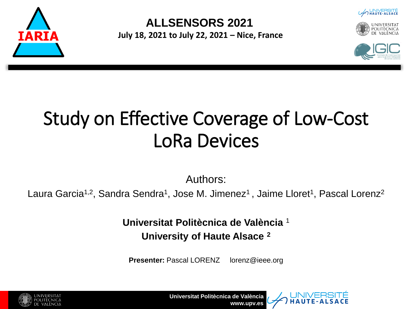

**ALLSENSORS 2021 July 18, 2021 to July 22, 2021 – Nice, France**







# Study on Effective Coverage of Low-Cost LoRa Devices

Authors:

Laura Garcia<sup>1,2</sup>, Sandra Sendra<sup>1</sup>, Jose M. Jimenez<sup>1</sup>, Jaime Lloret<sup>1</sup>, Pascal Lorenz<sup>2</sup>

**Universitat Politècnica de València** <sup>1</sup> **University of Haute Alsace <sup>2</sup>**

**Presenter: Pascal LORENZ lorenz@ieee.org** 



**Universitat Politècnica de València www.upv.es**

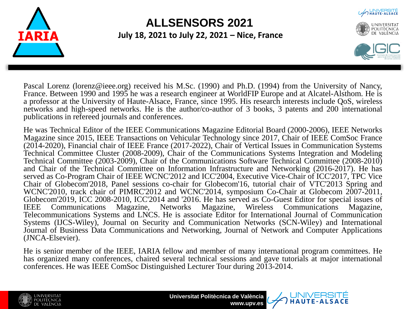

#### **ALLSENSORS 2021 July 18, 2021 to July 22, 2021 – Nice, France**







Pascal Lorenz (lorenz@ieee.org) received his M.Sc. (1990) and Ph.D. (1994) from the University of Nancy, France. Between 1990 and 1995 he was a research engineer at WorldFIP Europe and at Alcatel-Alsthom. He is a professor at the University of Haute-Alsace, France, since 1995. His research interests include QoS, wireless networks and high-speed networks. He is the author/co-author of 3 books, 3 patents and 200 international publications in refereed journals and conferences.

He was Technical Editor of the IEEE Communications Magazine Editorial Board (2000-2006), IEEE Networks Magazine since 2015, IEEE Transactions on Vehicular Technology since 2017, Chair of IEEE ComSoc France (2014-2020), Financial chair of IEEE France (2017-2022), Chair of Vertical Issues in Communication Systems Technical Committee Cluster (2008-2009), Chair of the Communications Systems Integration and Modeling Technical Committee (2003-2009), Chair of the Communications Software Technical Committee (2008-2010) and Chair of the Technical Committee on Information Infrastructure and Networking (2016-2017). He has served as Co-Program Chair of IEEE WCNC'2012 and ICC'2004, Executive Vice-Chair of ICC'2017, TPC Vice Chair of Globecom'2018, Panel sessions co-chair for Globecom'16, tutorial chair of VTC'2013 Spring and WCNC'2010, track chair of PIMRC'2012 and WCNC'2014, symposium Co-Chair at Globecom 2007-2011, Globecom'2019, ICC 2008-2010, ICC'2014 and '2016. He has served as Co-Guest Editor for special issues of IEEE Communications Magazine. Networks Magazine. Wireless Communications Magazine. Magazine, Networks Magazine, Wireless Communications Telecommunications Systems and LNCS. He is associate Editor for International Journal of Communication Systems (IJCS-Wiley), Journal on Security and Communication Networks (SCN-Wiley) and International Journal of Business Data Communications and Networking, Journal of Network and Computer Applications (JNCA-Elsevier).

He is senior member of the IEEE, IARIA fellow and member of many international program committees. He has organized many conferences, chaired several technical sessions and gave tutorials at major international conferences. He was IEEE ComSoc Distinguished Lecturer Tour during 2013-2014.



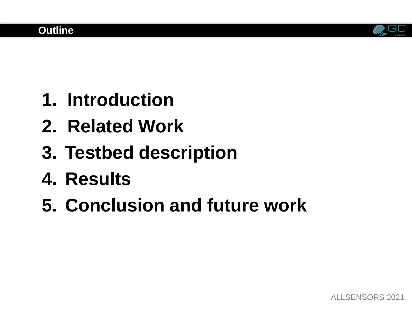

- **1. Introduction**
- **2. Related Work**
- **3. Testbed description**
- **4. Results**
- **5. Conclusion and future work**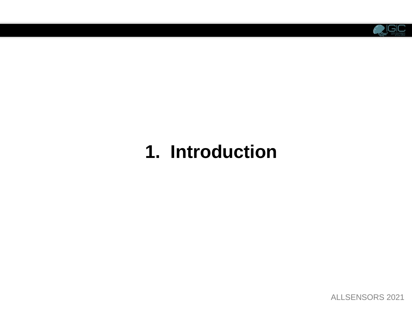

# **1. Introduction**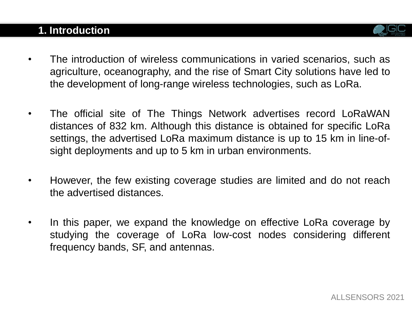#### **1. Introduction**

| <b>Burney</b><br><b>COM</b><br><b>MARKET</b><br>in n<br><b>Torias con</b> |
|---------------------------------------------------------------------------|

- The introduction of wireless communications in varied scenarios, such as agriculture, oceanography, and the rise of Smart City solutions have led to the development of long-range wireless technologies, such as LoRa.
- The official site of The Things Network advertises record LoRaWAN distances of 832 km. Although this distance is obtained for specific LoRa settings, the advertised LoRa maximum distance is up to 15 km in line-ofsight deployments and up to 5 km in urban environments.
- However, the few existing coverage studies are limited and do not reach the advertised distances.
- In this paper, we expand the knowledge on effective LoRa coverage by studying the coverage of LoRa low-cost nodes considering different frequency bands, SF, and antennas.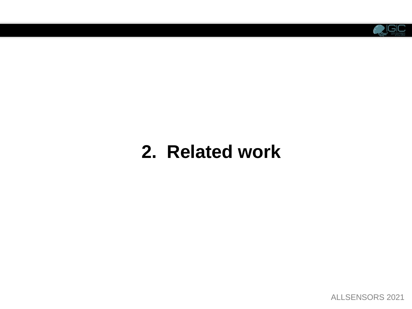

# **2. Related work**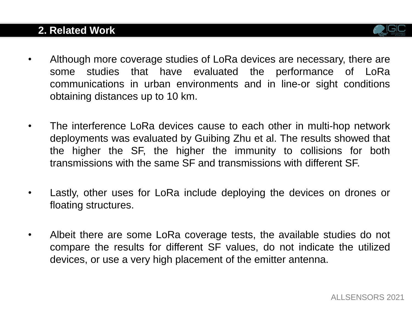### **2. Related Work**



- Although more coverage studies of LoRa devices are necessary, there are some studies that have evaluated the performance of LoRa communications in urban environments and in line-or sight conditions obtaining distances up to 10 km.
- The interference LoRa devices cause to each other in multi-hop network deployments was evaluated by Guibing Zhu et al. The results showed that the higher the SF, the higher the immunity to collisions for both transmissions with the same SF and transmissions with different SF.
- Lastly, other uses for LoRa include deploying the devices on drones or floating structures.
- Albeit there are some LoRa coverage tests, the available studies do not compare the results for different SF values, do not indicate the utilized devices, or use a very high placement of the emitter antenna.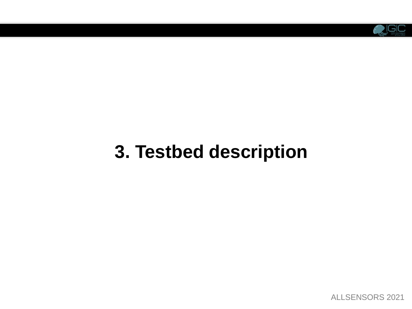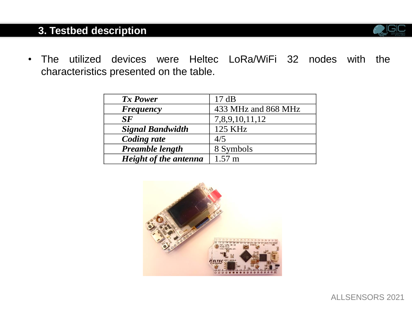- 
- The utilized devices were Heltec LoRa/WiFi 32 nodes with the characteristics presented on the table.

| <b>Tx Power</b>         | 17 dB               |
|-------------------------|---------------------|
| <b>Frequency</b>        | 433 MHz and 868 MHz |
| SF                      | 7,8,9,10,11,12      |
| <b>Signal Bandwidth</b> | 125 KHz             |
| <b>Coding rate</b>      | 4/5                 |
| Preamble length         | 8 Symbols           |
| Height of the antenna   | $1.57 \text{ m}$    |

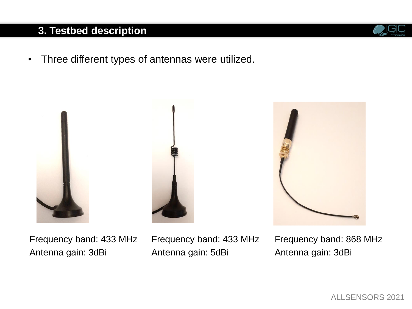• Three different types of antennas were utilized.







Frequency band: 433 MHz Antenna gain: 3dBi

Frequency band: 433 MHz Antenna gain: 5dBi

Frequency band: 868 MHz Antenna gain: 3dBi

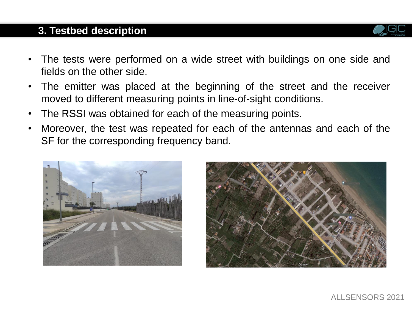

- The tests were performed on a wide street with buildings on one side and fields on the other side.
- The emitter was placed at the beginning of the street and the receiver moved to different measuring points in line-of-sight conditions.
- The RSSI was obtained for each of the measuring points.
- Moreover, the test was repeated for each of the antennas and each of the SF for the corresponding frequency band.



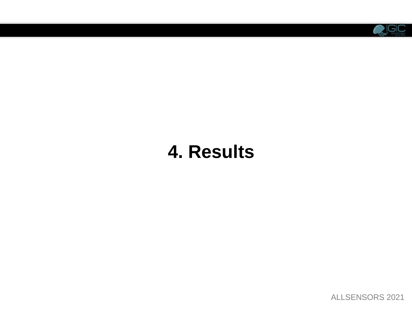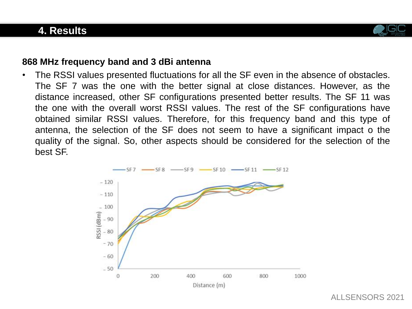

#### **868 MHz frequency band and 3 dBi antenna**

The RSSI values presented fluctuations for all the SF even in the absence of obstacles. The SF 7 was the one with the better signal at close distances. However, as the distance increased, other SF configurations presented better results. The SF 11 was the one with the overall worst RSSI values. The rest of the SF configurations have obtained similar RSSI values. Therefore, for this frequency band and this type of antenna, the selection of the SF does not seem to have a significant impact o the quality of the signal. So, other aspects should be considered for the selection of the best SF.

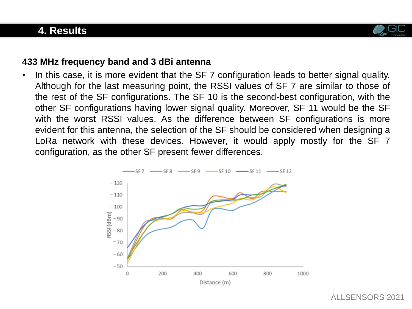

#### **433 MHz frequency band and 3 dBi antenna**

In this case, it is more evident that the SF 7 configuration leads to better signal quality. Although for the last measuring point, the RSSI values of SF 7 are similar to those of the rest of the SF configurations. The SF 10 is the second-best configuration, with the other SF configurations having lower signal quality. Moreover, SF 11 would be the SF with the worst RSSI values. As the difference between SF configurations is more evident for this antenna, the selection of the SF should be considered when designing a LoRa network with these devices. However, it would apply mostly for the SF 7 configuration, as the other SF present fewer differences.

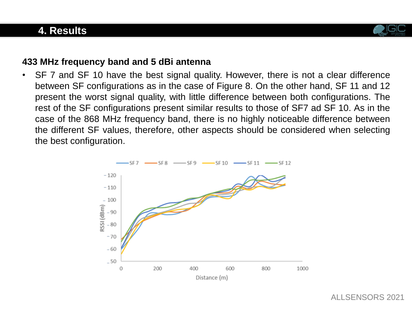

#### **433 MHz frequency band and 5 dBi antenna**

SF 7 and SF 10 have the best signal quality. However, there is not a clear difference between SF configurations as in the case of Figure 8. On the other hand, SF 11 and 12 present the worst signal quality, with little difference between both configurations. The rest of the SF configurations present similar results to those of SF7 ad SF 10. As in the case of the 868 MHz frequency band, there is no highly noticeable difference between the different SF values, therefore, other aspects should be considered when selecting the best configuration.

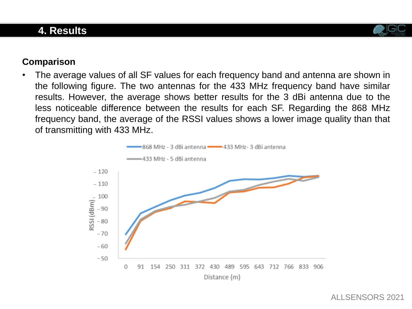

#### **Comparison**

The average values of all SF values for each frequency band and antenna are shown in the following figure. The two antennas for the 433 MHz frequency band have similar results. However, the average shows better results for the 3 dBi antenna due to the less noticeable difference between the results for each SF. Regarding the 868 MHz frequency band, the average of the RSSI values shows a lower image quality than that of transmitting with 433 MHz.

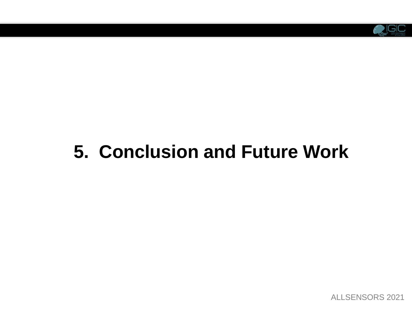

# **5. Conclusion and Future Work**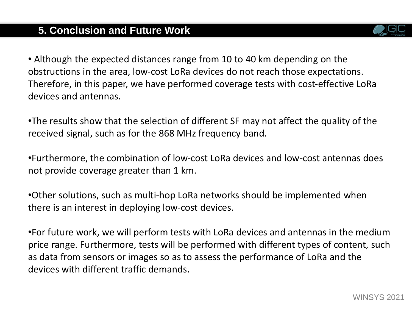#### **5. Conclusion and Future Work**



• Although the expected distances range from 10 to 40 km depending on the obstructions in the area, low-cost LoRa devices do not reach those expectations. Therefore, in this paper, we have performed coverage tests with cost-effective LoRa devices and antennas.

•The results show that the selection of different SF may not affect the quality of the received signal, such as for the 868 MHz frequency band.

•Furthermore, the combination of low-cost LoRa devices and low-cost antennas does not provide coverage greater than 1 km.

•Other solutions, such as multi-hop LoRa networks should be implemented when there is an interest in deploying low-cost devices.

•For future work, we will perform tests with LoRa devices and antennas in the medium price range. Furthermore, tests will be performed with different types of content, such as data from sensors or images so as to assess the performance of LoRa and the devices with different traffic demands.